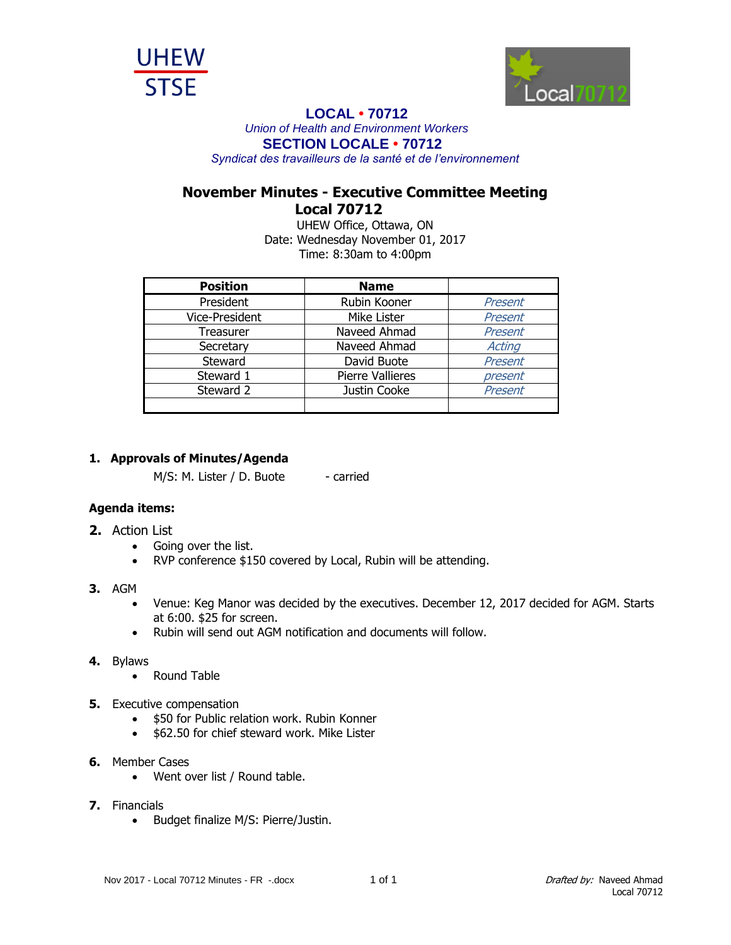



## **LOCAL • 70712**

*Union of Health and Environment Workers* **SECTION LOCALE • 70712**

*Syndicat des travailleurs de la santé et de l'environnement*

## **November Minutes - Executive Committee Meeting Local 70712**

UHEW Office, Ottawa, ON Date: Wednesday November 01, 2017 Time: 8:30am to 4:00pm

| <b>Position</b> | <b>Name</b>             |         |
|-----------------|-------------------------|---------|
| President       | Rubin Kooner            | Present |
| Vice-President  | Mike Lister             | Present |
| Treasurer       | Naveed Ahmad            | Present |
| Secretary       | Naveed Ahmad            | Acting  |
| Steward         | David Buote             | Present |
| Steward 1       | <b>Pierre Vallieres</b> | present |
| Steward 2       | Justin Cooke            | Present |
|                 |                         |         |

## **1. Approvals of Minutes/Agenda**

M/S: M. Lister / D. Buote - carried

## **Agenda items:**

- **2.** Action List
	- Going over the list.
	- RVP conference \$150 covered by Local, Rubin will be attending.
- **3.** AGM
	- Venue: Keg Manor was decided by the executives. December 12, 2017 decided for AGM. Starts at 6:00. \$25 for screen.
	- Rubin will send out AGM notification and documents will follow.
- **4.** Bylaws
	- Round Table
- **5.** Executive compensation
	- **\$50 for Public relation work. Rubin Konner**
	- \$62.50 for chief steward work. Mike Lister
- **6.** Member Cases
	- Went over list / Round table.
- **7.** Financials
	- Budget finalize M/S: Pierre/Justin.